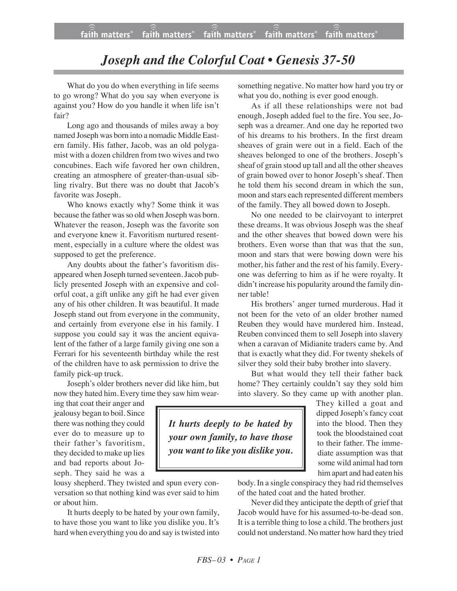## *Joseph and the Colorful Coat • Genesis 37-50*

What do you do when everything in life seems to go wrong? What do you say when everyone is against you? How do you handle it when life isn't fair?

Long ago and thousands of miles away a boy named Joseph was born into a nomadic Middle Eastern family. His father, Jacob, was an old polygamist with a dozen children from two wives and two concubines. Each wife favored her own children, creating an atmosphere of greater-than-usual sibling rivalry. But there was no doubt that Jacob's favorite was Joseph.

Who knows exactly why? Some think it was because the father was so old when Joseph was born. Whatever the reason, Joseph was the favorite son and everyone knew it. Favoritism nurtured resentment, especially in a culture where the oldest was supposed to get the preference.

Any doubts about the father's favoritism disappeared when Joseph turned seventeen.Jacob publicly presented Joseph with an expensive and colorful coat, a gift unlike any gift he had ever given any of his other children. It was beautiful. It made Joseph stand out from everyone in the community, and certainly from everyone else in his family. I suppose you could say it was the ancient equivalent of the father of a large family giving one son a Ferrari for his seventeenth birthday while the rest of the children have to ask permission to drive the family pick-up truck.

Joseph's older brothers never did like him, but now they hated him. Every time they saw him wear-

ing that coat their anger and jealousy began to boil. Since there was nothing they could ever do to measure up to their father's favoritism, they decided to make up lies and bad reports about Joseph. They said he was a

lousy shepherd. They twisted and spun every conversation so that nothing kind was ever said to him or about him.

It hurts deeply to be hated by your own family, to have those you want to like you dislike you. It's hard when everything you do and say is twisted into

something negative. No matter how hard you try or what you do, nothing is ever good enough.

As if all these relationships were not bad enough, Joseph added fuel to the fire. You see, Joseph was a dreamer. And one day he reported two of his dreams to his brothers. In the first dream sheaves of grain were out in a field. Each of the sheaves belonged to one of the brothers. Joseph's sheaf of grain stood up tall and all the other sheaves of grain bowed over to honor Joseph's sheaf. Then he told them his second dream in which the sun, moon and stars each represented different members of the family. They all bowed down to Joseph.

No one needed to be clairvoyant to interpret these dreams. It was obvious Joseph was the sheaf and the other sheaves that bowed down were his brothers. Even worse than that was that the sun, moon and stars that were bowing down were his mother, his father and the rest of his family. Everyone was deferring to him as if he were royalty. It didn't increase his popularity around the family dinner table!

His brothers' anger turned murderous. Had it not been for the veto of an older brother named Reuben they would have murdered him. Instead, Reuben convinced them to sell Joseph into slavery when a caravan of Midianite traders came by. And that is exactly what they did. For twenty shekels of silver they sold their baby brother into slavery.

But what would they tell their father back home? They certainly couldn't say they sold him into slavery. So they came up with another plan.

*It hurts deeply to be hated by your own family, to have those you want to like you dislike you.* They killed a goat and dipped Joseph's fancy coat into the blood. Then they took the bloodstained coat to their father. The immediate assumption was that some wild animal had torn him apart and had eaten his

body. In a single conspiracy they had rid themselves of the hated coat and the hated brother.

Never did they anticipate the depth of grief that Jacob would have for his assumed-to-be-dead son. It is a terrible thing to lose a child. The brothers just could not understand. No matter how hard they tried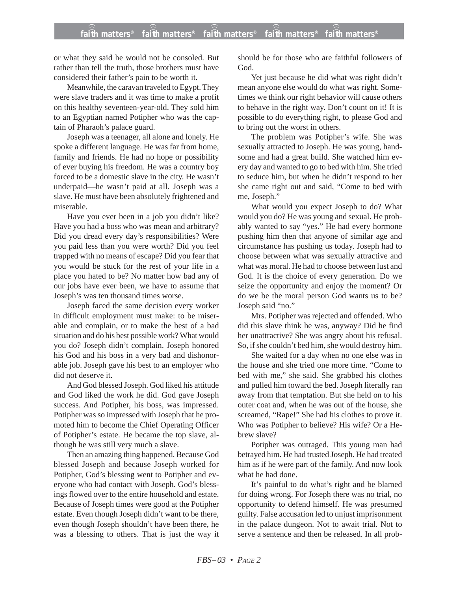or what they said he would not be consoled. But rather than tell the truth, those brothers must have considered their father's pain to be worth it.

Meanwhile, the caravan traveled to Egypt. They were slave traders and it was time to make a profit on this healthy seventeen-year-old. They sold him to an Egyptian named Potipher who was the captain of Pharaoh's palace guard.

Joseph was a teenager, all alone and lonely. He spoke a different language. He was far from home, family and friends. He had no hope or possibility of ever buying his freedom. He was a country boy forced to be a domestic slave in the city. He wasn't underpaid—he wasn't paid at all. Joseph was a slave. He must have been absolutely frightened and miserable.

Have you ever been in a job you didn't like? Have you had a boss who was mean and arbitrary? Did you dread every day's responsibilities? Were you paid less than you were worth? Did you feel trapped with no means of escape? Did you fear that you would be stuck for the rest of your life in a place you hated to be? No matter how bad any of our jobs have ever been, we have to assume that Joseph's was ten thousand times worse.

Joseph faced the same decision every worker in difficult employment must make: to be miserable and complain, or to make the best of a bad situation and do his best possible work? What would you do? Joseph didn't complain. Joseph honored his God and his boss in a very bad and dishonorable job. Joseph gave his best to an employer who did not deserve it.

And God blessed Joseph. God liked his attitude and God liked the work he did. God gave Joseph success. And Potipher, his boss, was impressed. Potipher was so impressed with Joseph that he promoted him to become the Chief Operating Officer of Potipher's estate. He became the top slave, although he was still very much a slave.

Then an amazing thing happened. Because God blessed Joseph and because Joseph worked for Potipher, God's blessing went to Potipher and everyone who had contact with Joseph. God's blessings flowed over to the entire household and estate. Because of Joseph times were good at the Potipher estate. Even though Joseph didn't want to be there, even though Joseph shouldn't have been there, he was a blessing to others. That is just the way it should be for those who are faithful followers of God.

Yet just because he did what was right didn't mean anyone else would do what was right. Sometimes we think our right behavior will cause others to behave in the right way. Don't count on it! It is possible to do everything right, to please God and to bring out the worst in others.

The problem was Potipher's wife. She was sexually attracted to Joseph. He was young, handsome and had a great build. She watched him every day and wanted to go to bed with him. She tried to seduce him, but when he didn't respond to her she came right out and said, "Come to bed with me, Joseph."

What would you expect Joseph to do? What would you do? He was young and sexual. He probably wanted to say "yes." He had every hormone pushing him then that anyone of similar age and circumstance has pushing us today. Joseph had to choose between what was sexually attractive and what was moral. He had to choose between lust and God. It is the choice of every generation. Do we seize the opportunity and enjoy the moment? Or do we be the moral person God wants us to be? Joseph said "no."

Mrs. Potipher was rejected and offended. Who did this slave think he was, anyway? Did he find her unattractive? She was angry about his refusal. So, if she couldn't bed him, she would destroy him.

She waited for a day when no one else was in the house and she tried one more time. "Come to bed with me," she said. She grabbed his clothes and pulled him toward the bed. Joseph literally ran away from that temptation. But she held on to his outer coat and, when he was out of the house, she screamed, "Rape!" She had his clothes to prove it. Who was Potipher to believe? His wife? Or a Hebrew slave?

Potipher was outraged. This young man had betrayed him. He had trusted Joseph. He had treated him as if he were part of the family. And now look what he had done.

It's painful to do what's right and be blamed for doing wrong. For Joseph there was no trial, no opportunity to defend himself. He was presumed guilty. False accusation led to unjust imprisonment in the palace dungeon. Not to await trial. Not to serve a sentence and then be released. In all prob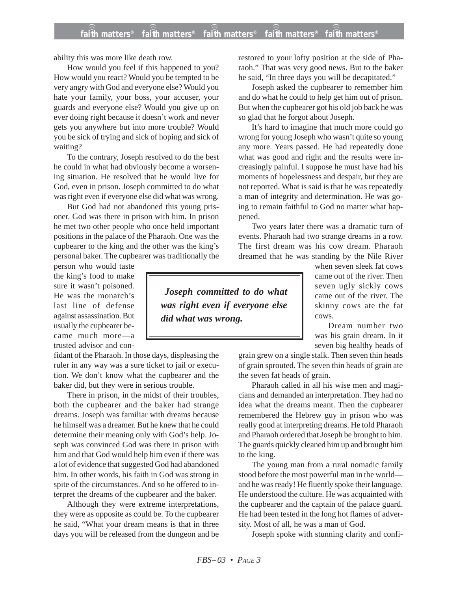ability this was more like death row.

How would you feel if this happened to you? How would you react? Would you be tempted to be very angry with God and everyone else? Would you hate your family, your boss, your accuser, your guards and everyone else? Would you give up on ever doing right because it doesn't work and never gets you anywhere but into more trouble? Would you be sick of trying and sick of hoping and sick of waiting?

To the contrary, Joseph resolved to do the best he could in what had obviously become a worsening situation. He resolved that he would live for God, even in prison. Joseph committed to do what was right even if everyone else did what was wrong.

But God had not abandoned this young prisoner. God was there in prison with him. In prison he met two other people who once held important positions in the palace of the Pharaoh. One was the cupbearer to the king and the other was the king's personal baker. The cupbearer was traditionally the

person who would taste the king's food to make sure it wasn't poisoned. He was the monarch's last line of defense against assassination. But usually the cupbearer became much more—a trusted advisor and con-

fidant of the Pharaoh. In those days, displeasing the ruler in any way was a sure ticket to jail or execution. We don't know what the cupbearer and the baker did, but they were in serious trouble.

There in prison, in the midst of their troubles, both the cupbearer and the baker had strange dreams. Joseph was familiar with dreams because he himself was a dreamer. But he knew that he could determine their meaning only with God's help. Joseph was convinced God was there in prison with him and that God would help him even if there was a lot of evidence that suggested God had abandoned him. In other words, his faith in God was strong in spite of the circumstances. And so he offered to interpret the dreams of the cupbearer and the baker.

Although they were extreme interpretations, they were as opposite as could be. To the cupbearer he said, "What your dream means is that in three days you will be released from the dungeon and be restored to your lofty position at the side of Pharaoh." That was very good news. But to the baker he said, "In three days you will be decapitated."

Joseph asked the cupbearer to remember him and do what he could to help get him out of prison. But when the cupbearer got his old job back he was so glad that he forgot about Joseph.

It's hard to imagine that much more could go wrong for young Joseph who wasn't quite so young any more. Years passed. He had repeatedly done what was good and right and the results were increasingly painful. I suppose he must have had his moments of hopelessness and despair, but they are not reported. What is said is that he was repeatedly a man of integrity and determination. He was going to remain faithful to God no matter what happened.

Two years later there was a dramatic turn of events. Pharaoh had two strange dreams in a row. The first dream was his cow dream. Pharaoh dreamed that he was standing by the Nile River

*Joseph committed to do what was right even if everyone else did what was wrong.*

when seven sleek fat cows came out of the river. Then seven ugly sickly cows came out of the river. The skinny cows ate the fat cows.

Dream number two was his grain dream. In it seven big healthy heads of

grain grew on a single stalk. Then seven thin heads of grain sprouted. The seven thin heads of grain ate the seven fat heads of grain.

Pharaoh called in all his wise men and magicians and demanded an interpretation. They had no idea what the dreams meant. Then the cupbearer remembered the Hebrew guy in prison who was really good at interpreting dreams. He told Pharaoh and Pharaoh ordered that Joseph be brought to him. The guards quickly cleaned him up and brought him to the king.

The young man from a rural nomadic family stood before the most powerful man in the world and he was ready! He fluently spoke their language. He understood the culture. He was acquainted with the cupbearer and the captain of the palace guard. He had been tested in the long hot flames of adversity. Most of all, he was a man of God.

Joseph spoke with stunning clarity and confi-